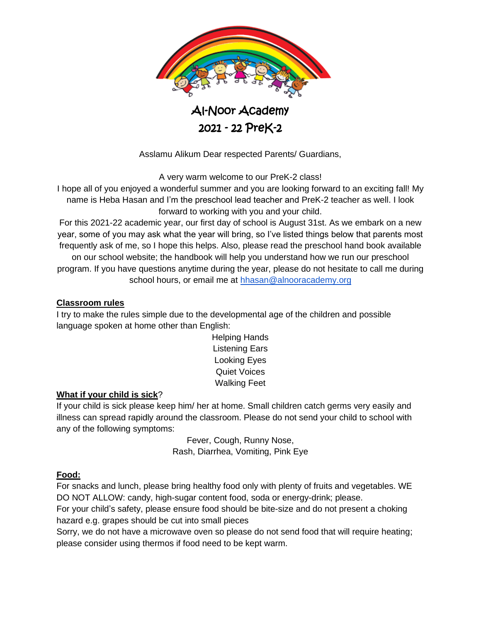

Asslamu Alikum Dear respected Parents/ Guardians,

A very warm welcome to our PreK-2 class!

I hope all of you enjoyed a wonderful summer and you are looking forward to an exciting fall! My name is Heba Hasan and I'm the preschool lead teacher and PreK-2 teacher as well. I look forward to working with you and your child.

For this 2021-22 academic year, our first day of school is August 31st. As we embark on a new year, some of you may ask what the year will bring, so I've listed things below that parents most frequently ask of me, so I hope this helps. Also, please read the preschool hand book available

on our school website; the handbook will help you understand how we run our preschool program. If you have questions anytime during the year, please do not hesitate to call me during school hours, or email me at [hhasan@alnooracademy.org](mailto:hhasan@alnooracademy.org)

# **Classroom rules**

I try to make the rules simple due to the developmental age of the children and possible language spoken at home other than English:

Helping Hands Listening Ears Looking Eyes Quiet Voices Walking Feet

# **What if your child is sick**?

If your child is sick please keep him/ her at home. Small children catch germs very easily and illness can spread rapidly around the classroom. Please do not send your child to school with any of the following symptoms:

> Fever, Cough, Runny Nose, Rash, Diarrhea, Vomiting, Pink Eye

# **Food:**

For snacks and lunch, please bring healthy food only with plenty of fruits and vegetables. WE DO NOT ALLOW: candy, high-sugar content food, soda or energy-drink; please.

For your child's safety, please ensure food should be bite-size and do not present a choking hazard e.g. grapes should be cut into small pieces

Sorry, we do not have a microwave oven so please do not send food that will require heating; please consider using thermos if food need to be kept warm.